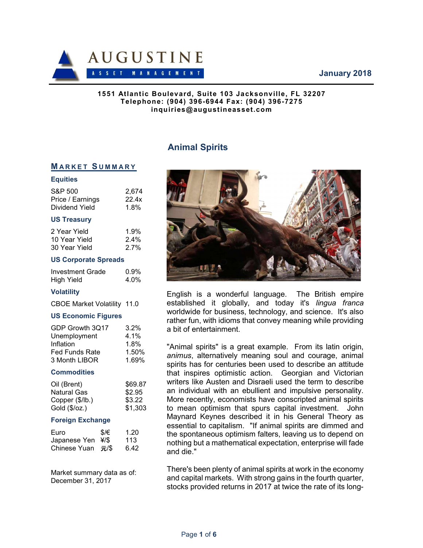## January 2018



#### 1551 Atlantic Boulevard, Suite 103 Jacksonville, FL 32207 Telephone: (904) 396-6944 Fax: (904) 396-7275 inquiries@augustineasset.com

# Animal Spirits

# **MARKET SUMMARY**

#### **Equities**

| S&P 500          | 2.674 |
|------------------|-------|
| Price / Earnings | 22.4x |
| Dividend Yield   | 1.8%  |

#### US Treasury

| 2 Year Yield  | 1.9%    |
|---------------|---------|
| 10 Year Yield | $2.4\%$ |
| 30 Year Yield | 2.7%    |

#### US Corporate Spreads

| Investment Grade  | 0.9% |
|-------------------|------|
| <b>High Yield</b> | 4.0% |

### **Volatility**

CBOE Market Volatility 11.0

#### US Economic Figures

| GDP Growth 3Q17       | $3.2\%$ |
|-----------------------|---------|
| Unemployment          | $4.1\%$ |
| Inflation             | 1.8%    |
| <b>Fed Funds Rate</b> | 1.50%   |
| 3 Month LIBOR         | 1.69%   |

#### **Commodities**

| Oil (Brent)            | \$69.87 |
|------------------------|---------|
| <b>Natural Gas</b>     | \$2.95  |
| Copper (\$/lb.)        | \$3.22  |
| Gold $(\sqrt[6]{oz}.)$ | \$1,303 |

#### Foreign Exchange

| Euro              | \$/€ | 1.20 |
|-------------------|------|------|
| Japanese Yen ¥/\$ |      | 113  |
| Chinese Yuan 元/\$ |      | 6.42 |

Market summary data as of: December 31, 2017



English is a wonderful language. The British empire established it globally, and today it's lingua franca worldwide for business, technology, and science. It's also rather fun, with idioms that convey meaning while providing a bit of entertainment.

"Animal spirits" is a great example. From its latin origin, animus, alternatively meaning soul and courage, animal spirits has for centuries been used to describe an attitude that inspires optimistic action. Georgian and Victorian writers like Austen and Disraeli used the term to describe an individual with an ebullient and impulsive personality. More recently, economists have conscripted animal spirits to mean optimism that spurs capital investment. John Maynard Keynes described it in his General Theory as essential to capitalism. "If animal spirits are dimmed and the spontaneous optimism falters, leaving us to depend on nothing but a mathematical expectation, enterprise will fade and die."

There's been plenty of animal spirits at work in the economy and capital markets. With strong gains in the fourth quarter, stocks provided returns in 2017 at twice the rate of its long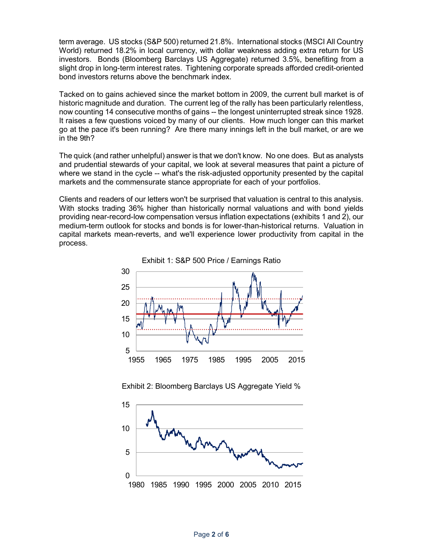term average. US stocks (S&P 500) returned 21.8%. International stocks (MSCI All Country World) returned 18.2% in local currency, with dollar weakness adding extra return for US investors. Bonds (Bloomberg Barclays US Aggregate) returned 3.5%, benefiting from a slight drop in long-term interest rates. Tightening corporate spreads afforded credit-oriented bond investors returns above the benchmark index.

Tacked on to gains achieved since the market bottom in 2009, the current bull market is of historic magnitude and duration. The current leg of the rally has been particularly relentless, now counting 14 consecutive months of gains -- the longest uninterrupted streak since 1928. It raises a few questions voiced by many of our clients. How much longer can this market go at the pace it's been running? Are there many innings left in the bull market, or are we in the 9th?

The quick (and rather unhelpful) answer is that we don't know. No one does. But as analysts and prudential stewards of your capital, we look at several measures that paint a picture of where we stand in the cycle -- what's the risk-adjusted opportunity presented by the capital markets and the commensurate stance appropriate for each of your portfolios.

Clients and readers of our letters won't be surprised that valuation is central to this analysis. With stocks trading 36% higher than historically normal valuations and with bond yields providing near-record-low compensation versus inflation expectations (exhibits 1 and 2), our medium-term outlook for stocks and bonds is for lower-than-historical returns. Valuation in capital markets mean-reverts, and we'll experience lower productivity from capital in the process.



Exhibit 2: Bloomberg Barclays US Aggregate Yield %

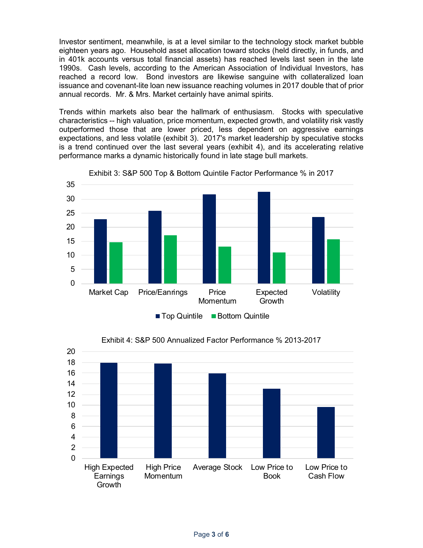Investor sentiment, meanwhile, is at a level similar to the technology stock market bubble eighteen years ago. Household asset allocation toward stocks (held directly, in funds, and in 401k accounts versus total financial assets) has reached levels last seen in the late 1990s. Cash levels, according to the American Association of Individual Investors, has reached a record low. Bond investors are likewise sanguine with collateralized loan issuance and covenant-lite loan new issuance reaching volumes in 2017 double that of prior annual records. Mr. & Mrs. Market certainly have animal spirits.

Trends within markets also bear the hallmark of enthusiasm. Stocks with speculative characteristics -- high valuation, price momentum, expected growth, and volatility risk vastly outperformed those that are lower priced, less dependent on aggressive earnings expectations, and less volatile (exhibit 3). 2017's market leadership by speculative stocks is a trend continued over the last several years (exhibit 4), and its accelerating relative performance marks a dynamic historically found in late stage bull markets.



Exhibit 3: S&P 500 Top & Bottom Quintile Factor Performance % in 2017



Exhibit 4: S&P 500 Annualized Factor Performance % 2013-2017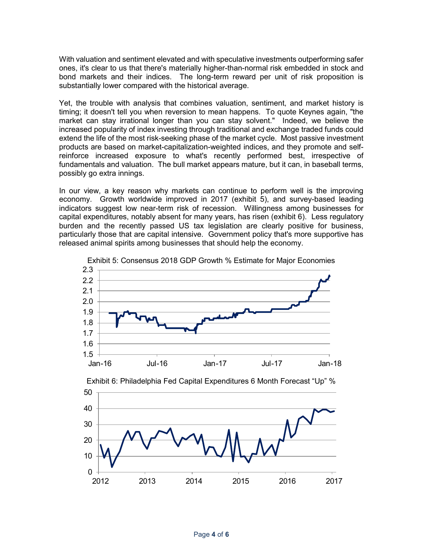With valuation and sentiment elevated and with speculative investments outperforming safer ones, it's clear to us that there's materially higher-than-normal risk embedded in stock and bond markets and their indices. The long-term reward per unit of risk proposition is substantially lower compared with the historical average.

Yet, the trouble with analysis that combines valuation, sentiment, and market history is timing; it doesn't tell you when reversion to mean happens. To quote Keynes again, "the market can stay irrational longer than you can stay solvent." Indeed, we believe the increased popularity of index investing through traditional and exchange traded funds could extend the life of the most risk-seeking phase of the market cycle. Most passive investment products are based on market-capitalization-weighted indices, and they promote and selfreinforce increased exposure to what's recently performed best, irrespective of fundamentals and valuation. The bull market appears mature, but it can, in baseball terms, possibly go extra innings.

In our view, a key reason why markets can continue to perform well is the improving economy. Growth worldwide improved in 2017 (exhibit 5), and survey-based leading indicators suggest low near-term risk of recession. Willingness among businesses for capital expenditures, notably absent for many years, has risen (exhibit 6). Less regulatory burden and the recently passed US tax legislation are clearly positive for business, particularly those that are capital intensive. Government policy that's more supportive has released animal spirits among businesses that should help the economy.





Exhibit 6: Philadelphia Fed Capital Expenditures 6 Month Forecast "Up" %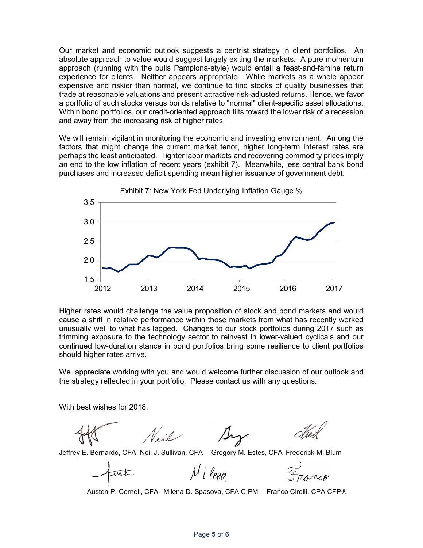Our market and economic outlook suggests a centrist strategy in client portfolios. An absolute approach to value would suggest largely exiting the markets. A pure momentum approach (running with the bulls Pamplona-style) would entail a feast-and-famine return experience for clients. Neither appears appropriate. While markets as a whole appear expensive and riskier than normal, we continue to find stocks of quality businesses that trade at reasonable valuations and present attractive risk-adjusted returns. Hence, we favor a portfolio of such stocks versus bonds relative to "normal" client-specific asset allocations. Within bond portfolios, our credit-oriented approach tilts toward the lower risk of a recession and away from the increasing risk of higher rates.

We will remain vigilant in monitoring the economic and investing environment. Among the factors that might change the current market tenor, higher long-term interest rates are perhaps the least anticipated. Tighter labor markets and recovering commodity prices imply an end to the low inflation of recent years (exhibit 7). Meanwhile, less central bank bond purchases and increased deficit spending mean higher issuance of government debt.



Higher rates would challenge the value proposition of stock and bond markets and would cause a shift in relative performance within those markets from what has recently worked unusually well to what has lagged. Changes to our stock portfolios during 2017 such as trimming exposure to the technology sector to reinvest in lower-valued cyclicals and our continued low-duration stance in bond portfolios bring some resilience to client portfolios should higher rates arrive.

We appreciate working with you and would welcome further discussion of our outlook and the strategy reflected in your portfolio. Please contact us with any questions.

With best wishes for 2018,



Jeffrey E. Bernardo, CFA Neil J. Sullivan, CFA Gregory M. Estes, CFA Frederick M. Blum

V. : 0

M i leng

Austen P. Cornell, CFA Milena D. Spasova, CFA CIPM Franco Cirelli, CPA CFP